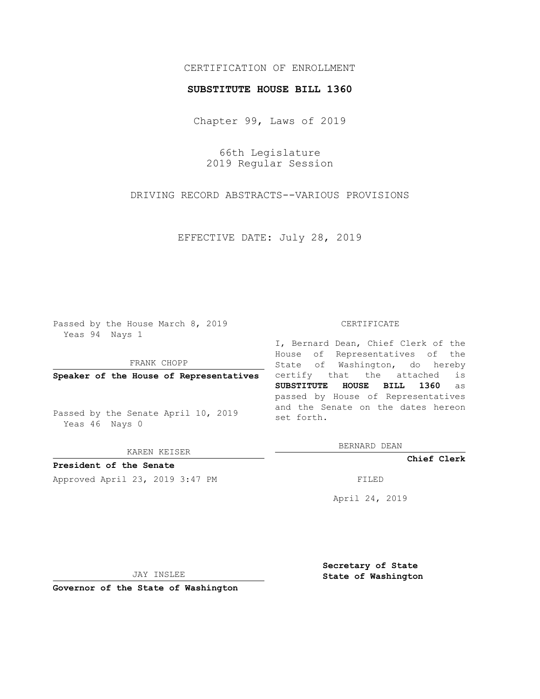## CERTIFICATION OF ENROLLMENT

## **SUBSTITUTE HOUSE BILL 1360**

Chapter 99, Laws of 2019

66th Legislature 2019 Regular Session

DRIVING RECORD ABSTRACTS--VARIOUS PROVISIONS

EFFECTIVE DATE: July 28, 2019

Passed by the House March 8, 2019 Yeas 94 Nays 1

FRANK CHOPP

**Speaker of the House of Representatives**

Passed by the Senate April 10, 2019 Yeas 46 Nays 0

KAREN KEISER

**President of the Senate**

Approved April 23, 2019 3:47 PM FILED

## CERTIFICATE

I, Bernard Dean, Chief Clerk of the House of Representatives of the State of Washington, do hereby certify that the attached is **SUBSTITUTE HOUSE BILL 1360** as passed by House of Representatives and the Senate on the dates hereon set forth.

BERNARD DEAN

**Chief Clerk**

April 24, 2019

JAY INSLEE

**Governor of the State of Washington**

**Secretary of State State of Washington**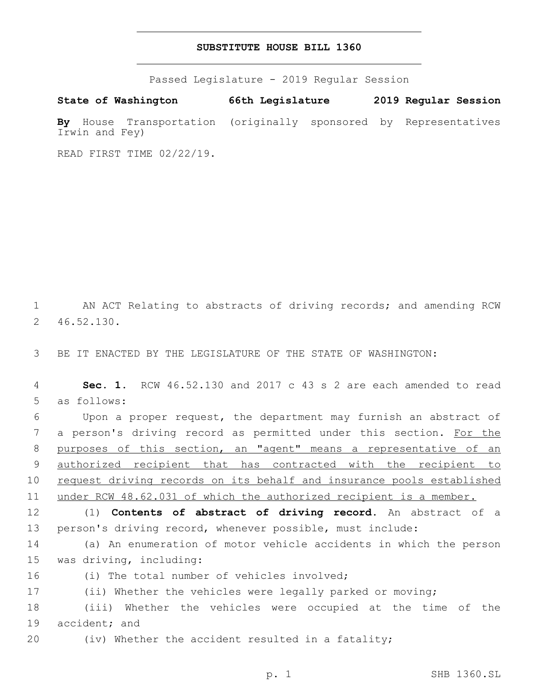## **SUBSTITUTE HOUSE BILL 1360**

Passed Legislature - 2019 Regular Session

**State of Washington 66th Legislature 2019 Regular Session By** House Transportation (originally sponsored by Representatives Irwin and Fey)

READ FIRST TIME 02/22/19.

1 AN ACT Relating to abstracts of driving records; and amending RCW 46.52.130.2

3 BE IT ENACTED BY THE LEGISLATURE OF THE STATE OF WASHINGTON:

4 **Sec. 1.** RCW 46.52.130 and 2017 c 43 s 2 are each amended to read 5 as follows:

6 Upon a proper request, the department may furnish an abstract of 7 a person's driving record as permitted under this section. For the 8 purposes of this section, an "agent" means a representative of an 9 authorized recipient that has contracted with the recipient to 10 request driving records on its behalf and insurance pools established 11 under RCW 48.62.031 of which the authorized recipient is a member.

12 (1) **Contents of abstract of driving record.** An abstract of a 13 person's driving record, whenever possible, must include:

14 (a) An enumeration of motor vehicle accidents in which the person 15 was driving, including:

16 (i) The total number of vehicles involved;

17 (ii) Whether the vehicles were legally parked or moving;

18 (iii) Whether the vehicles were occupied at the time of the 19 accident; and

20 (iv) Whether the accident resulted in a fatality;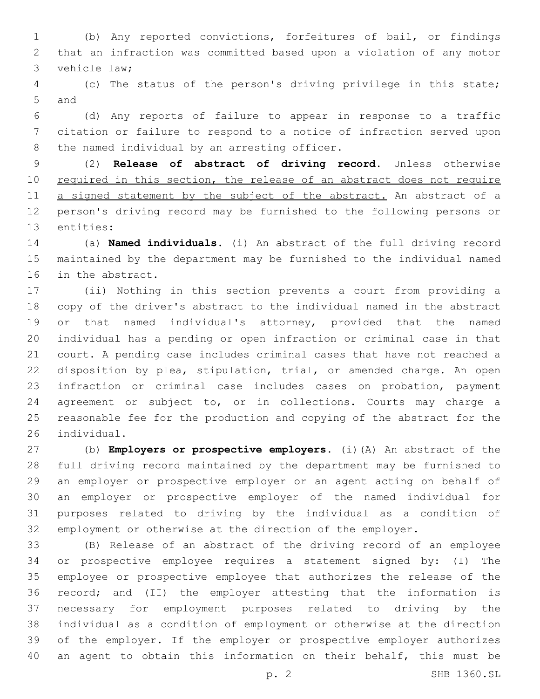(b) Any reported convictions, forfeitures of bail, or findings that an infraction was committed based upon a violation of any motor 3 vehicle law;

 (c) The status of the person's driving privilege in this state; 5 and

 (d) Any reports of failure to appear in response to a traffic citation or failure to respond to a notice of infraction served upon 8 the named individual by an arresting officer.

 (2) **Release of abstract of driving record.** Unless otherwise 10 required in this section, the release of an abstract does not require 11 a signed statement by the subject of the abstract. An abstract of a person's driving record may be furnished to the following persons or 13 entities:

 (a) **Named individuals.** (i) An abstract of the full driving record maintained by the department may be furnished to the individual named 16 in the abstract.

 (ii) Nothing in this section prevents a court from providing a copy of the driver's abstract to the individual named in the abstract or that named individual's attorney, provided that the named individual has a pending or open infraction or criminal case in that court. A pending case includes criminal cases that have not reached a disposition by plea, stipulation, trial, or amended charge. An open infraction or criminal case includes cases on probation, payment agreement or subject to, or in collections. Courts may charge a reasonable fee for the production and copying of the abstract for the 26 individual.

 (b) **Employers or prospective employers.** (i)(A) An abstract of the full driving record maintained by the department may be furnished to an employer or prospective employer or an agent acting on behalf of an employer or prospective employer of the named individual for purposes related to driving by the individual as a condition of employment or otherwise at the direction of the employer.

 (B) Release of an abstract of the driving record of an employee or prospective employee requires a statement signed by: (I) The employee or prospective employee that authorizes the release of the record; and (II) the employer attesting that the information is necessary for employment purposes related to driving by the individual as a condition of employment or otherwise at the direction of the employer. If the employer or prospective employer authorizes an agent to obtain this information on their behalf, this must be

p. 2 SHB 1360.SL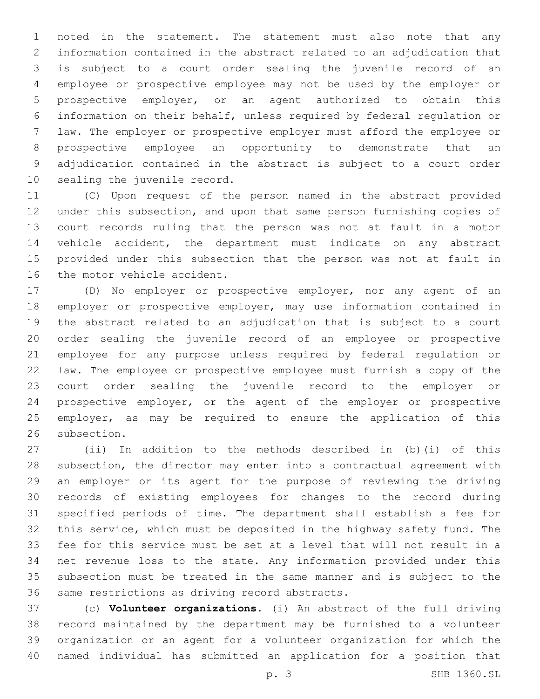noted in the statement. The statement must also note that any information contained in the abstract related to an adjudication that is subject to a court order sealing the juvenile record of an employee or prospective employee may not be used by the employer or prospective employer, or an agent authorized to obtain this information on their behalf, unless required by federal regulation or law. The employer or prospective employer must afford the employee or prospective employee an opportunity to demonstrate that an adjudication contained in the abstract is subject to a court order 10 sealing the juvenile record.

 (C) Upon request of the person named in the abstract provided under this subsection, and upon that same person furnishing copies of court records ruling that the person was not at fault in a motor vehicle accident, the department must indicate on any abstract provided under this subsection that the person was not at fault in 16 the motor vehicle accident.

 (D) No employer or prospective employer, nor any agent of an employer or prospective employer, may use information contained in the abstract related to an adjudication that is subject to a court order sealing the juvenile record of an employee or prospective employee for any purpose unless required by federal regulation or law. The employee or prospective employee must furnish a copy of the court order sealing the juvenile record to the employer or prospective employer, or the agent of the employer or prospective employer, as may be required to ensure the application of this 26 subsection.

 (ii) In addition to the methods described in (b)(i) of this subsection, the director may enter into a contractual agreement with an employer or its agent for the purpose of reviewing the driving records of existing employees for changes to the record during specified periods of time. The department shall establish a fee for this service, which must be deposited in the highway safety fund. The fee for this service must be set at a level that will not result in a net revenue loss to the state. Any information provided under this subsection must be treated in the same manner and is subject to the 36 same restrictions as driving record abstracts.

 (c) **Volunteer organizations.** (i) An abstract of the full driving record maintained by the department may be furnished to a volunteer organization or an agent for a volunteer organization for which the named individual has submitted an application for a position that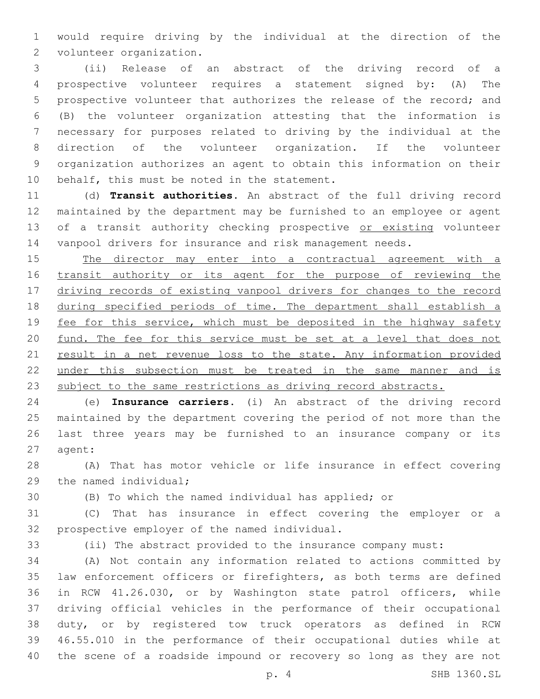would require driving by the individual at the direction of the 2 volunteer organization.

 (ii) Release of an abstract of the driving record of a prospective volunteer requires a statement signed by: (A) The prospective volunteer that authorizes the release of the record; and (B) the volunteer organization attesting that the information is necessary for purposes related to driving by the individual at the direction of the volunteer organization. If the volunteer organization authorizes an agent to obtain this information on their 10 behalf, this must be noted in the statement.

 (d) **Transit authorities.** An abstract of the full driving record maintained by the department may be furnished to an employee or agent 13 of a transit authority checking prospective or existing volunteer vanpool drivers for insurance and risk management needs.

 The director may enter into a contractual agreement with a transit authority or its agent for the purpose of reviewing the driving records of existing vanpool drivers for changes to the record during specified periods of time. The department shall establish a 19 fee for this service, which must be deposited in the highway safety 20 fund. The fee for this service must be set at a level that does not 21 result in a net revenue loss to the state. Any information provided under this subsection must be treated in the same manner and is 23 subject to the same restrictions as driving record abstracts.

 (e) **Insurance carriers.** (i) An abstract of the driving record maintained by the department covering the period of not more than the last three years may be furnished to an insurance company or its 27 agent:

 (A) That has motor vehicle or life insurance in effect covering 29 the named individual;

(B) To which the named individual has applied; or

 (C) That has insurance in effect covering the employer or a 32 prospective employer of the named individual.

(ii) The abstract provided to the insurance company must:

 (A) Not contain any information related to actions committed by law enforcement officers or firefighters, as both terms are defined in RCW 41.26.030, or by Washington state patrol officers, while driving official vehicles in the performance of their occupational duty, or by registered tow truck operators as defined in RCW 46.55.010 in the performance of their occupational duties while at the scene of a roadside impound or recovery so long as they are not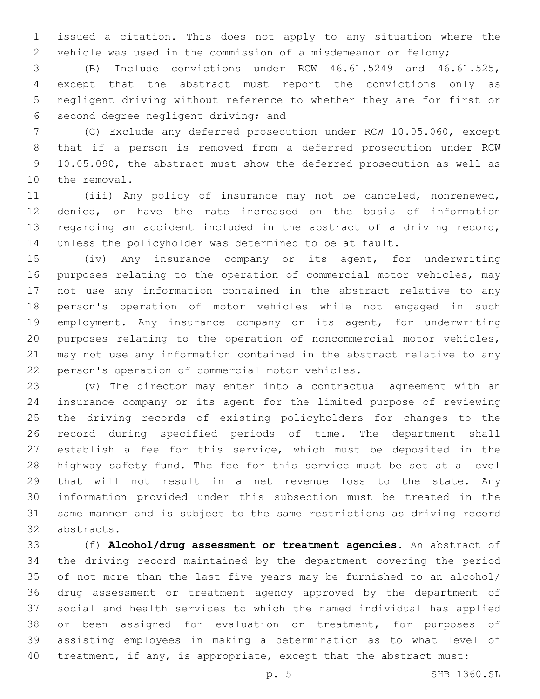issued a citation. This does not apply to any situation where the vehicle was used in the commission of a misdemeanor or felony;

 (B) Include convictions under RCW 46.61.5249 and 46.61.525, except that the abstract must report the convictions only as negligent driving without reference to whether they are for first or 6 second degree negligent driving; and

 (C) Exclude any deferred prosecution under RCW 10.05.060, except that if a person is removed from a deferred prosecution under RCW 10.05.090, the abstract must show the deferred prosecution as well as 10 the removal.

 (iii) Any policy of insurance may not be canceled, nonrenewed, denied, or have the rate increased on the basis of information regarding an accident included in the abstract of a driving record, unless the policyholder was determined to be at fault.

 (iv) Any insurance company or its agent, for underwriting purposes relating to the operation of commercial motor vehicles, may not use any information contained in the abstract relative to any person's operation of motor vehicles while not engaged in such employment. Any insurance company or its agent, for underwriting purposes relating to the operation of noncommercial motor vehicles, may not use any information contained in the abstract relative to any 22 person's operation of commercial motor vehicles.

 (v) The director may enter into a contractual agreement with an insurance company or its agent for the limited purpose of reviewing the driving records of existing policyholders for changes to the record during specified periods of time. The department shall establish a fee for this service, which must be deposited in the highway safety fund. The fee for this service must be set at a level that will not result in a net revenue loss to the state. Any information provided under this subsection must be treated in the same manner and is subject to the same restrictions as driving record 32 abstracts.

 (f) **Alcohol/drug assessment or treatment agencies.** An abstract of the driving record maintained by the department covering the period of not more than the last five years may be furnished to an alcohol/ drug assessment or treatment agency approved by the department of social and health services to which the named individual has applied or been assigned for evaluation or treatment, for purposes of assisting employees in making a determination as to what level of 40 treatment, if any, is appropriate, except that the abstract must: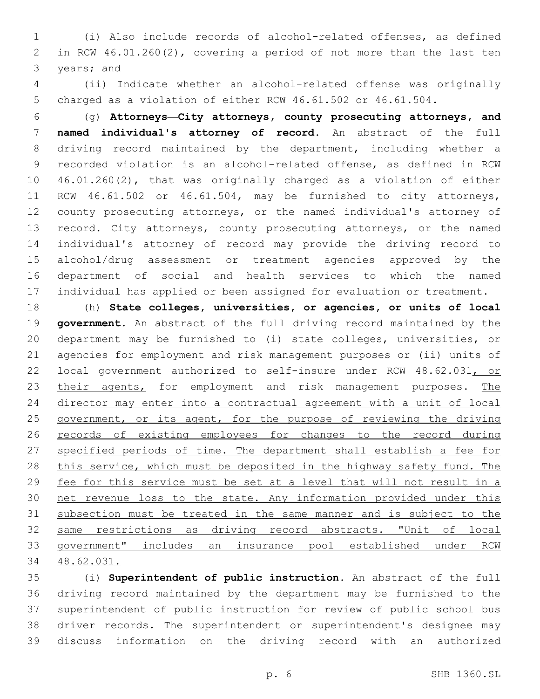(i) Also include records of alcohol-related offenses, as defined in RCW 46.01.260(2), covering a period of not more than the last ten 3 years; and

 (ii) Indicate whether an alcohol-related offense was originally charged as a violation of either RCW 46.61.502 or 46.61.504.

 (g) **Attorneys—City attorneys, county prosecuting attorneys, and named individual's attorney of record.** An abstract of the full driving record maintained by the department, including whether a recorded violation is an alcohol-related offense, as defined in RCW 46.01.260(2), that was originally charged as a violation of either RCW 46.61.502 or 46.61.504, may be furnished to city attorneys, county prosecuting attorneys, or the named individual's attorney of record. City attorneys, county prosecuting attorneys, or the named individual's attorney of record may provide the driving record to alcohol/drug assessment or treatment agencies approved by the department of social and health services to which the named individual has applied or been assigned for evaluation or treatment.

 (h) **State colleges, universities, or agencies, or units of local government.** An abstract of the full driving record maintained by the department may be furnished to (i) state colleges, universities, or agencies for employment and risk management purposes or (ii) units of local government authorized to self-insure under RCW 48.62.031, or 23 their agents, for employment and risk management purposes. The director may enter into a contractual agreement with a unit of local 25 government, or its agent, for the purpose of reviewing the driving records of existing employees for changes to the record during specified periods of time. The department shall establish a fee for this service, which must be deposited in the highway safety fund. The fee for this service must be set at a level that will not result in a net revenue loss to the state. Any information provided under this subsection must be treated in the same manner and is subject to the same restrictions as driving record abstracts. "Unit of local government" includes an insurance pool established under RCW 48.62.031.

 (i) **Superintendent of public instruction.** An abstract of the full driving record maintained by the department may be furnished to the superintendent of public instruction for review of public school bus driver records. The superintendent or superintendent's designee may discuss information on the driving record with an authorized